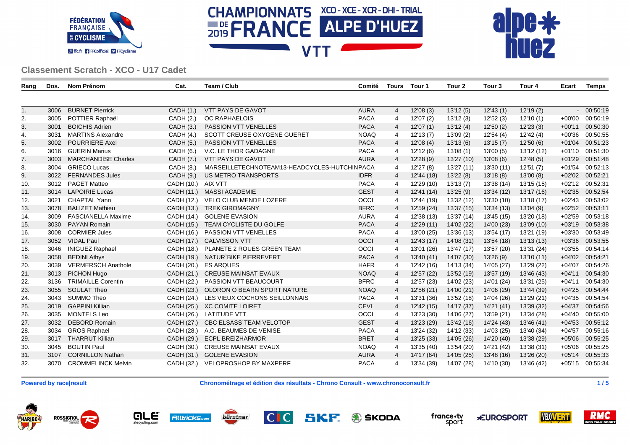





| Rang | Dos. | Nom Prénom                 | Cat.               | Team / Club                                  | Comité      | Tours          | Tour 1     | Tour 2     | Tour 3     | Tour 4     | Ecart    | Temps           |
|------|------|----------------------------|--------------------|----------------------------------------------|-------------|----------------|------------|------------|------------|------------|----------|-----------------|
|      |      |                            |                    |                                              |             |                |            |            |            |            |          |                 |
| 1.   | 3006 | <b>BURNET Pierrick</b>     | CADH(1.)           | <b>VTT PAYS DE GAVOT</b>                     | <b>AURA</b> | $\overline{4}$ | 12'08 (3)  | 13'12(5)   | 12'43(1)   | 12'19(2)   |          | $-00:50:19$     |
| 2.   | 3005 | POTTIER Raphaël            | CADH (2.)          | <b>OC RAPHAELOIS</b>                         | <b>PACA</b> | 4              | 12'07(2)   | 13'12(3)   | 12'52(3)   | 12'10(1)   | $+00'00$ | 00:50:19        |
| 3.   | 3001 | <b>BOICHIS Adrien</b>      | CADH(3.)           | PASSION VTT VENELLES                         | <b>PACA</b> | 4              | 12'07(1)   | 13'12(4)   | 12'50(2)   | 12'23(3)   | $+00'11$ | 00:50:30        |
| 4.   | 3031 | <b>MARTINS Alexandre</b>   | CADH(4.)           | SCOTT CREUSE OXYGENE GUERET                  | <b>NOAQ</b> | 4              | 12'13(7)   | 13'09 (2)  | 12'54 (4)  | 12'42(4)   | $+00'36$ | 00:50:55        |
| 5.   | 3002 | <b>POURRIERE Axel</b>      | CADH (5.)          | <b>PASSION VTT VENELLES</b>                  | <b>PACA</b> | $\overline{4}$ | 12'08(4)   | 13'13(6)   | 13'15(7)   | 12'50(6)   | $+01'04$ | 00:51:23        |
| 6.   |      | 3016 GUERIN Marius         | CADH (6.)          | V.C. LE THOR GADAGNE                         | <b>PACA</b> | 4              | 12'12(6)   | 13'08(1)   | 13'00(5)   | 13'12 (12) | $+01'10$ | 00:51:30        |
| 7.   | 3003 | <b>MARCHANDISE Charles</b> | CADH (7.)          | VTT PAYS DE GAVOT                            | <b>AURA</b> | $\overline{4}$ | 12'28 (9)  | 13'27 (10) | 13'08(6)   | 12'48(5)   | $+01'29$ | 00:51:48        |
| 8.   | 3004 | <b>GRIECO Lucas</b>        | CADH (8.)          | MARSEILLETECHNOTEAM13-HEADCYCLES-HUTCHINPACA |             | 4              | 12'27 (8)  | 13'27 (11) | 13'30 (11) | 12'51(7)   | $+01'54$ | 00:52:13        |
| 9.   | 3022 | <b>FERNANDES Jules</b>     | CADH (9.)          | <b>US METRO TRANSPORTS</b>                   | <b>IDFR</b> | 4              | 12'44 (18) | 13'22(8)   | 13'18(8)   | 13'00(8)   | $+02'02$ | 00:52:21        |
| 10.  | 3012 | <b>PAGET Matteo</b>        | CADH (10.) AIX VTT |                                              | <b>PACA</b> | 4              | 12'29 (10) | 13'13(7)   | 13'38 (14) | 13'15 (15) | $+02'12$ | 00:52:31        |
| 11.  | 3014 | <b>LAPOIRIE Lucas</b>      | CADH (11.)         | <b>MASSI ACADEMIE</b>                        | <b>GEST</b> | $\overline{4}$ | 12'41 (14) | 13'25(9)   | 13'34 (12) | 13'17 (16) | $+02'35$ | 00:52:54        |
| 12.  | 3021 | <b>CHAPTAL Yann</b>        | CADH (12.)         | VELO CLUB MENDE LOZERE                       | OCCI        | 4              | 12'44 (19) | 13'32 (12) | 13'30 (10) | 13'18 (17) | $+02'43$ | 00:53:02        |
| 13.  | 3078 | <b>BALIZET Mathieu</b>     |                    | CADH (13.) TREK GIROMAGNY                    | <b>BFRC</b> | 4              | 12'59 (24) | 13'37 (15) | 13'34 (13) | 13'04(9)   | $+02'52$ | 00:53:11        |
| 14.  | 3009 | <b>FASCIANELLA Maxime</b>  | CADH (14.)         | <b>GOLENE EVASION</b>                        | <b>AURA</b> | 4              | 12'38 (13) | 13'37 (14) | 13'45 (15) | 13'20 (18) | $+02'59$ | 00:53:18        |
| 15.  | 3030 | <b>PAYAN Romain</b>        |                    | CADH (15.) TEAM CYCLISTE DU GOLFE            | <b>PACA</b> | $\overline{4}$ | 12'29 (11) | 14'02 (22) | 14'00 (23) | 13'09 (10) | $+03'19$ | 00:53:38        |
| 16.  |      | 3008 CORMIER Jules         |                    | CADH (16.) PASSION VTT VENELLES              | <b>PACA</b> | 4              | 13'00 (25) | 13'36 (13) | 13'54 (17) | 13'21 (19) | $+03'30$ | 00:53:49        |
| 17.  |      | 3052 VIDAL Paul            |                    | CADH (17.) CALVISSON VTT                     | <b>OCCI</b> | 4              | 12'43 (17) | 14'08 (31) | 13'54 (18) | 13'13 (13) | $+03'36$ | 00:53:55        |
| 18.  | 3046 | <b>INIGUEZ Raphael</b>     |                    | CADH (18.) PLANETE 2 ROUES GREEN TEAM        | OCCI        | 4              | 13'01 (26) | 13'47 (17) | 13'57 (20) | 13'31 (24) | $+03'55$ | 00:54:14        |
| 19.  | 3058 | <b>BEDINI Athys</b>        |                    | CADH (19.) NATUR`BIKE PIERREVERT             | <b>PACA</b> | $\overline{4}$ | 13'40 (41) | 14'07 (30) | 13'26 (9)  | 13'10(11)  | $+04'02$ | 00:54:21        |
| 20.  | 3039 | <b>VERMERSCH Anathole</b>  |                    | CADH (20.) ES ARQUES                         | <b>HAFR</b> | 4              | 12'42 (16) | 14'13 (34) | 14'05 (27) | 13'29 (22) | $+04'07$ | 00:54:26        |
| 21.  | 3013 | PICHON Hugo                |                    | CADH (21.) CREUSE MAINSAT EVAUX              | <b>NOAQ</b> | $\overline{4}$ | 12'57 (22) | 13'52 (19) | 13'57 (19) | 13'46 (43) | $+04'11$ | 00:54:30        |
| 22.  | 3136 | <b>TRIMAILLE Corentin</b>  |                    | CADH (22.) PASSION VTT BEAUCOURT             | <b>BFRC</b> | 4              | 12'57 (23) | 14'02 (23) | 14'01 (24) | 13'31 (25) | +04'11   | 00:54:30        |
| 23.  |      | 3055 SOULAT Theo           |                    | CADH (23.) OLORON O BEARN SPORT NATURE       | <b>NOAQ</b> | 4              | 12'56 (21) | 14'00 (21) | 14'06 (29) | 13'44 (39) | $+04'25$ | 00:54:44        |
| 24.  | 3043 | SUMMO Theo                 |                    | CADH (24.) LES VIEUX COCHONS SEILLONNAIS     | <b>PACA</b> | 4              | 13'31 (36) | 13'52 (18) | 14'04 (26) | 13'29 (21) | $+04'35$ | 00:54:54        |
| 25.  | 3019 | GAPPINI Killian            |                    | CADH (25.) XC COMITE LOIRET                  | <b>CEVL</b> | 4              | 12'42 (15) | 14'17 (37) | 14'21 (41) | 13'39 (32) | $+04'37$ | 00:54:56        |
| 26.  | 3035 | <b>MONTELS Leo</b>         |                    | CADH (26.) LATITUDE VTT                      | OCCI        | 4              | 13'23 (30) | 14'06 (27) | 13'59 (21) | 13'34 (28) | $+04'40$ | 00:55:00        |
| 27.  | 3032 | <b>DEBORD Romain</b>       | CADH (27.)         | <b>CBC ELSASS TEAM VELOTOP</b>               | <b>GEST</b> | 4              | 13'23 (29) | 13'42 (16) | 14'24 (43) | 13'46 (41) | $+04'53$ | 00:55:12        |
| 28.  | 3034 | <b>GROS Raphael</b>        |                    | CADH (28.) A.C. BEAUMES DE VENISE            | <b>PACA</b> | 4              | 13'24 (32) | 14'12 (33) | 14'03 (25) | 13'40 (34) | $+04'57$ | 00:55:16        |
| 29.  | 3017 | <b>THARRUT Killian</b>     |                    | CADH (29.) ECPL BREIZHARMOR                  | <b>BRET</b> | 4              | 13'25 (33) | 14'05 (26) | 14'20 (40) | 13'38 (29) | $+05'06$ | 00:55:25        |
| 30.  | 3045 | <b>BOUTIN Paul</b>         |                    | CADH (30.) CREUSE MAINSAT EVAUX              | <b>NOAQ</b> | 4              | 13'35 (40) | 13'54 (20) | 14'21 (42) | 13'38 (31) | $+05'06$ | 00:55:25        |
| 31.  |      | 3107 CORNILLON Nathan      |                    | CADH (31.) GOLENE EVASION                    | <b>AURA</b> | 4              | 14'17 (64) | 14'05 (25) | 13'48 (16) | 13'26 (20) | $+05'14$ | 00:55:33        |
| 32.  |      | 3070 CROMMELINCK Melvin    |                    | CADH (32.) VELOPROSHOP BY MAXPERF            | <b>PACA</b> | 4              | 13'34 (39) | 14'07 (28) | 14'10 (30) | 13'46 (42) |          | +05'15 00:55:34 |

**Powered by race|result Chronométrage et édition des résultats - Chrono Consult - www.chronoconsult.fr 1 / 5**

ROSSIGNOL HARIBO









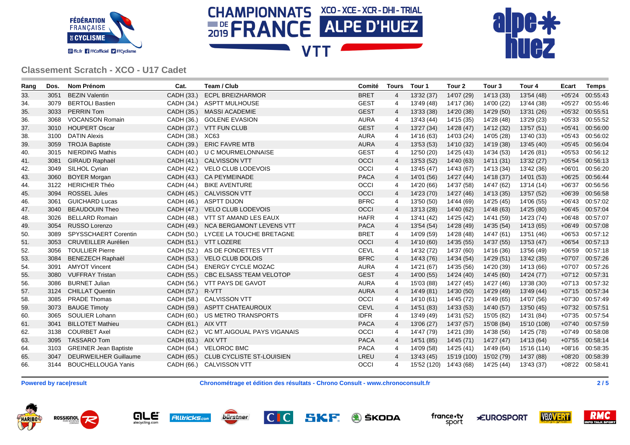





| Rang | Dos. | Nom Prénom                   | Cat.               | Team / Club                          | Comité      | <b>Tours</b>   | Tour 1                 | Tour 2      | Tour <sub>3</sub> | Tour 4      | Ecart    | <b>Temps</b>    |
|------|------|------------------------------|--------------------|--------------------------------------|-------------|----------------|------------------------|-------------|-------------------|-------------|----------|-----------------|
| 33.  | 3051 | <b>BEZIN Valentin</b>        | CADH (33.)         | <b>ECPL BREIZHARMOR</b>              | <b>BRET</b> | $\overline{4}$ | 13'32 (37)             | 14'07 (29)  | 14'13 (33)        | 13'54 (48)  | $+05'24$ | 00:55:43        |
| 34.  | 3079 | <b>BERTOLI Bastien</b>       |                    | CADH (34.) ASPTT MULHOUSE            | <b>GEST</b> | 4              | 13'49 (48)             | 14'17 (36)  | 14'00 (22)        | 13'44 (38)  | $+05'27$ | 00:55:46        |
| 35.  | 3033 | <b>PERRIN Tom</b>            |                    | CADH (35.) MASSI ACADEMIE            | <b>GEST</b> | 4              | 13'33 (38)             | 14'20 (38)  | 14'29 (50)        | 13'31 (26)  | $+05'32$ | 00:55:51        |
| 36.  | 3068 | <b>VOCANSON Romain</b>       |                    | CADH (36.) GOLENE EVASION            | <b>AURA</b> | 4              | 13'43 (44)             | 14'15 (35)  | 14'28 (48)        | 13'29 (23)  | $+05'33$ | 00:55:52        |
| 37.  | 3010 | <b>HOUPERT Oscar</b>         |                    | CADH (37.) VTT FUN CLUB              | <b>GEST</b> | $\overline{4}$ | 13'27 (34)             | 14'28 (47)  | 14'12 (32)        | 13'57 (51)  | $+05'41$ | 00:56:00        |
| 38.  | 3100 | <b>DATIN Alexis</b>          | CADH (38.)         | XC63                                 | <b>AURA</b> | 4              | 14'16 (63)             | 14'03 (24)  | 14'05 (28)        | 13'40 (33)  | $+05'43$ | 00:56:02        |
| 39.  | 3059 | <b>TROJA Baptiste</b>        | CADH (39.)         | <b>ERIC FAVRE MTB</b>                | <b>AURA</b> | 4              | 13'53 (53)             | 14'10 (32)  | 14'19 (38)        | 13'45 (40)  | $+05'45$ | 00:56:04        |
| 40.  | 3015 | <b>NIERDING Mathis</b>       |                    | CADH (40.) U C MOURMELONNAISE        | <b>GEST</b> | $\overline{4}$ | 12'50 (20)             | 14'25 (43)  | 14'34 (53)        | 14'26 (81)  | $+05'53$ | 00:56:12        |
| 41.  | 3081 | <b>GIRAUD Raphaël</b>        |                    | CADH (41.) CALVISSON VTT             | <b>OCCI</b> | 4              | 13'53 (52)             | 14'40 (63)  | 14'11 (31)        | 13'32 (27)  | $+05'54$ | 00:56:13        |
| 42.  | 3049 | SILHOL Cyrian                |                    | CADH (42.) VELO CLUB LODEVOIS        | OCCI        | 4              | 13'45 (47)             | 14'43 (67)  | 14'13 (34)        | 13'42 (36)  | $+06'01$ | 00:56:20        |
| 43.  | 3060 | <b>BOYER Morgan</b>          |                    | CADH (43.) CA PEYMEINADE             | <b>PACA</b> | 4              | 14'01 (56)             | 14'27 (44)  | 14'18 (37)        | 14'01 (53)  | $+06'25$ | 00:56:44        |
| 44.  | 3122 | <b>HERICHER Théo</b>         |                    | CADH (44.) BIKE AVENTURE             | OCCI        | 4              | 14'20 (66)             | 14'37 (58)  | 14'47 (62)        | 13'14 (14)  | $+06'37$ | 00:56:56        |
| 45.  | 3094 | <b>ROSSEL Jules</b>          |                    | CADH (45.) CALVISSON VTT             | <b>OCCI</b> | $\overline{4}$ | 14'23 (70)             | 14'27 (46)  | 14'13 (35)        | 13'57 (52)  | $+06'39$ | 00:56:58        |
| 46.  | 3061 | <b>GUICHARD Lucas</b>        |                    | CADH (46.) ASPTT DIJON               | <b>BFRC</b> | 4              | 13'50 (50)             | 14'44 (69)  | 14'25 (45)        | 14'06 (55)  | $+06'43$ | 00:57:02        |
| 47.  | 3040 | <b>BEAUDOUIN Theo</b>        |                    | CADH (47.) VELO CLUB LODEVOIS        | OCCI        | $\overline{4}$ | 13'13 (28)             | 14'40 (62)  | 14'48 (63)        | 14'25 (80)  | $+06'45$ | 00:57:04        |
| 48.  | 3026 | <b>BELLARD Romain</b>        |                    | CADH (48.) VTT ST AMAND LES EAUX     | <b>HAFR</b> | 4              | 13'41 (42)             | 14'25 (42)  | 14'41 (59)        | 14'23 (74)  | $+06'48$ | 00:57:07        |
| 49.  | 3054 | RUSSO Lorenzo                |                    | CADH (49.) NCA BERGAMONT LEVENS VTT  | <b>PACA</b> | 4              | 13'54 (54)             | 14'28 (49)  | 14'35 (54)        | 14'13 (65)  | $+06'49$ | 00:57:08        |
| 50.  | 3089 | SPYSSCHAERT Corentin         |                    | CADH (50.) LYCEE LA TOUCHE BRETAGNE  | <b>BRET</b> | 4              | 14'09 (59)             | 14'28 (48)  | 14'47 (61)        | 13'51 (46)  | $+06'53$ | 00:57:12        |
| 51.  | 3053 | <b>CRUVEILLER Aurélien</b>   |                    | CADH (51.) VTT LOZERE                | <b>OCCI</b> | $\overline{4}$ | 14'10 (60)             | 14'35 (55)  | 14'37 (55)        | 13'53 (47)  | $+06'54$ | 00:57:13        |
| 52.  | 3056 | <b>TOULLIER Pierre</b>       | CADH (52.)         | AS DE FONDETTES VTT                  | <b>CEVL</b> | 4              | 14'32 (72)             | 14'37 (60)  | 14'16 (36)        | 13'56 (49)  | $+06'59$ | 00:57:18        |
| 53.  | 3084 | <b>BENEZECH Raphaël</b>      |                    | CADH (53.) VELO CLUB DOLOIS          | <b>BFRC</b> | 4              | 14'43 (76)             | 14'34 (54)  | 14'29 (51)        | 13'42 (35)  | $+07'07$ | 00:57:26        |
| 54.  | 3091 | <b>AMYOT Vincent</b>         |                    | CADH (54.) ENERGY CYCLE MOZAC        | <b>AURA</b> | 4              | 14'21 (67)             | 14'35 (56)  | 14'20 (39)        | 14'13 (66)  | $+07'07$ | 00:57:26        |
| 55.  | 3080 | <b>VUFFRAY Tristan</b>       |                    | CADH (55.) CBC ELSASS`TEAM VELOTOP   | <b>GEST</b> | 4              | 14'00 (55)             | 14'24 (40)  | 14'45 (60)        | 14'24 (77)  | $+07'12$ | 00:57:31        |
| 56.  | 3086 | <b>BURNET Julian</b>         |                    | CADH (56.) VTT PAYS DE GAVOT         | <b>AURA</b> | 4              | 15'03 (88)             | 14'27 (45)  | 14'27 (46)        | 13'38 (30)  | $+07'13$ | 00:57:32        |
| 57.  | 3124 | <b>CHILLAT Quentin</b>       | CADH (57.) R-VTT   |                                      | <b>AURA</b> | 4              | 14'49 (81)             | 14'30 (50)  | 14'29 (49)        | 13'49 (44)  | $+07'15$ | 00:57:34        |
| 58.  | 3085 | <b>PRADE Thomas</b>          | CADH (58.)         | CALVISSON VTT                        | OCCI        | $\overline{4}$ | 14'10 (61)             | 14'45 (72)  | 14'49 (65)        | 14'07 (56)  | $+07'30$ | 00:57:49        |
| 59.  | 3073 | <b>BAUGE Timoty</b>          |                    | CADH (59.) ASPTT CHATEAUROUX         | <b>CEVL</b> | 4              | 14'51 (83)             | 14'33 (53)  | 14'40 (57)        | 13'50 (45)  | $+07'32$ | 00:57:51        |
| 60.  | 3065 | SOULIER Lohann               |                    | CADH (60.) US METRO TRANSPORTS       | <b>IDFR</b> | 4              | 13'49 (49)             | 14'31 (52)  | 15'05 (82)        | 14'31 (84)  | $+07'35$ | 00:57:54        |
| 61.  | 3041 | <b>BILLOTET Mathieu</b>      | CADH (61.) AIX VTT |                                      | <b>PACA</b> | 4              | 13'06 (27)             | 14'37 (57)  | 15'08 (84)        | 15'10 (108) | $+07'40$ | 00:57:59        |
| 62.  | 3138 | <b>COURBET Axel</b>          | CADH (62.)         | VC MT.AIGOUAL PAYS VIGANAIS          | OCCI        | 4              | 14'47 (79)             | 14'21 (39)  | 14'38 (56)        | 14'25 (78)  | $+07'49$ | 00:58:08        |
| 63.  | 3095 | <b>TASSARO Tom</b>           | CADH (63.) AIX VTT |                                      | <b>PACA</b> | $\overline{4}$ | 14'51 (85)             | 14'45 (71)  | 14'27 (47)        | 14'13 (64)  | $+07'55$ | 00:58:14        |
| 64.  | 3103 | <b>GREINER Jean Baptiste</b> |                    | CADH (64.) VELOROC BMC               | <b>PACA</b> | 4              | 14'09 (58)             | 14'25 (41)  | 14'49 (64)        | 15'16 (114) | $+08'16$ | 00:58:35        |
| 65.  | 3047 | DEURWEILHER Guillaume        |                    | CADH (65.) CLUB CYCLISTE ST-LOUISIEN | LREU        | 4              | 13'43 (45)             | 15'19 (100) | 15'02 (79)        | 14'37 (88)  | $+08'20$ | 00:58:39        |
| 66.  |      | 3144 BOUCHELLOUGA Yanis      |                    | CADH (66.) CALVISSON VTT             | OCCI        | 4              | 15'52 (120) 14'43 (68) |             | 14'25 (44)        | 13'43 (37)  |          | +08'22 00:58:41 |

**Powered by race|result Chronométrage et édition des résultats - Chrono Consult - www.chronoconsult.fr 2 / 5**

ROSSIGNOL HARIBO





SKF **A** ŠKODA



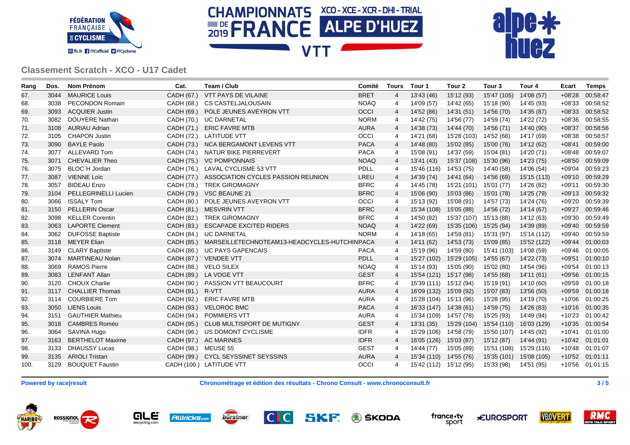





| Rang | Dos. | <b>Nom Prénom</b>           | Cat.                | Team / Club                                             | Comité      | <b>Tours</b>   | Tour 1                 | Tour <sub>2</sub> | Tour <sub>3</sub>       | Tour 4      | Ecart    | <b>Temps</b>    |
|------|------|-----------------------------|---------------------|---------------------------------------------------------|-------------|----------------|------------------------|-------------------|-------------------------|-------------|----------|-----------------|
| 67.  | 3044 | <b>MAURICE Louis</b>        | CADH (67.)          | <b>VTT PAYS DE VILAINE</b>                              | <b>BRET</b> | 4              | 13'43 (46)             | 15'12 (93)        | 15'47 (105)             | 14'08 (57)  | $+08'28$ | 00:58:47        |
| 68.  | 3038 | <b>PECONDON Romain</b>      |                     | CADH (68.) CS CASTELJALOUSAIN                           | <b>NOAQ</b> | 4              | 14'09 (57)             | 14'42 (65)        | 15'18 (90)              | 14'45 (93)  | $+08'33$ | 00:58:52        |
| 69.  | 3093 | <b>ACQUIER Justin</b>       |                     | CADH (69.) POLE JEUNES AVEYRON VTT                      | OCCI        | 4              | 14'52 (86)             | 14'31 (51)        | 14'56 (70)              | 14'35 (87)  | $+08'33$ | 00:58:52        |
| 70.  | 3082 | DOUYERE Nathan              |                     | CADH (70.) UC DARNETAL                                  | <b>NORM</b> | 4              | 14'42 (75)             | 14'56 (77)        | 14'59 (74)              | 14'22 (72)  | $+08'36$ | 00:58:55        |
| 71.  | 3108 | AURIAU Adrian               | CADH (71.)          | <b>ERIC FAVRE MTB</b>                                   | <b>AURA</b> | $\overline{4}$ | 14'38 (73)             | 14'44 (70)        | 14'56 (71)              | 14'40 (90)  | $+08'37$ | 00:58:56        |
| 72.  | 3105 | <b>CHAPON Justin</b>        |                     | CADH (72.) LATITUDE VTT                                 | OCCI        | 4              | 14'21 (68)             | 15'28 (103)       | 14'52 (66)              | 14'17 (69)  | $+08'38$ | 00:58:57        |
| 73.  | 3090 | <b>BAYLE Paolo</b>          |                     | CADH (73.) NCA BERGAMONT LEVENS VTT                     | <b>PACA</b> | 4              | 14'48 (80)             | 15'02 (85)        | 15'00 (76)              | 14'12 (62)  | $+08'41$ | 00:59:00        |
| 74.  | 3077 | ALLEVARD Tom                |                     | CADH (74.) NATUR BIKE PIERREVERT                        | <b>PACA</b> | 4              | 15'08 (91)             | 14'37 (59)        | 15'04 (81)              | 14'20 (71)  | $+08'48$ | 00:59:07        |
| 75.  | 3071 | <b>CHEVALIER Theo</b>       |                     | CADH (75.) VC POMPONNAIS                                | <b>NOAQ</b> | 4              | 13'41 (43)             | 15'37 (108)       | 15'30 (96)              | 14'23 (75)  | $+08'50$ | 00:59:09        |
| 76.  | 3075 | BLOC'H Jordan               |                     | CADH (76.) LAVAL CYCLISME 53 VTT                        | PDLL        | 4              | 15'46 (116)            | 14'53 (75)        | 14'40 (58)              | 14'06 (54)  | $+09'04$ | 00:59:23        |
| 77.  | 3087 | <b>VIENNE Loïc</b>          |                     | CADH (77.) ASSOCIATION CYCLES PASSION REUNION           | LREU        | 4              | 14'39 (74)             | 14'41 (64)        | 14'56 (69)              | 15'15 (113) | $+09'10$ | 00:59:29        |
| 78.  | 3057 | <b>BIDEAU Enzo</b>          |                     | CADH (78.) TREK GIROMAGNY                               | <b>BFRC</b> | 4              | 14'45 (78)             | 15'21 (101)       | 15'01 (77)              | 14'26 (82)  | $+09'11$ | 00:59:30        |
| 79.  | 3104 | <b>PELLEGRINELLI Lucien</b> |                     | CADH (79.) VSC BEAUNE 21                                | <b>BFRC</b> | 4              | 15'06 (90)             | 15'03 (86)        | 15'01 (78)              | 14'25 (79)  | $+09'13$ | 00:59:32        |
| 80.  | 3066 | <b>ISSALY Tom</b>           |                     | CADH (80.) POLE JEUNES AVEYRON VTT                      | OCCI        | 4              | 15'13 (92)             | 15'08 (91)        | 14'57 (73)              | 14'24 (76)  | $+09'20$ | 00:59:39        |
| 81.  | 3150 | <b>PELLERIN Oscar</b>       |                     | CADH (81.) MESVRIN VTT                                  | <b>BFRC</b> | 4              | 15'34 (108)            | 15'05 (88)        | 14'56 (72)              | 14'14 (67)  | $+09'27$ | 00:59:46        |
| 82.  | 3098 | <b>KELLER Corentin</b>      | CADH (82.)          | <b>TREK GIROMAGNY</b>                                   | <b>BFRC</b> | 4              | 14'50 (82)             | 15'37 (107)       | 15'13 (88)              | 14'12 (63)  | $+09'30$ | 00:59:49        |
| 83.  | 3063 | <b>LAPORTE Clement</b>      | CADH (83.)          | <b>ESCAPADE EXCITED RIDERS</b>                          | <b>NOAQ</b> | 4              | 14'22 (69)             | 15'35 (106)       | 15'25 (94)              | 14'39 (89)  | $+09'40$ | 00:59:59        |
| 84.  | 3062 | <b>DUFOSSE Baptiste</b>     |                     | CADH (84.) UC DARNETAL                                  | <b>NORM</b> | 4              | 14'18 (65)             | 14'59 (81)        | 15'31 (97)              | 15'14 (112) | $+09'40$ | 00:59:59        |
| 85.  |      | 3118 MEYER Elian            |                     | CADH (85.) MARSEILLETECHNOTEAM13-HEADCYCLES-HUTCHINPACA |             | 4              | 14'11 (62)             | 14'53 (73)        | 15'09 (85)              | 15'52 (122) | $+09'44$ | 01:00:03        |
| 86.  | 3149 | <b>CLARY Baptiste</b>       | CADH (86.)          | <b>UC PAYS GAPENCAIS</b>                                | <b>PACA</b> | 4              | 15'19 (96)             | 14'59 (80)        | 15'41 (103)             | 14'08 (59)  | $+09'46$ | 01:00:05        |
| 87.  | 3074 | MARTINEAU Nolan             |                     | CADH (87.) VENDEE VTT                                   | <b>PDLL</b> | 4              | 15'27 (102)            | 15'29 (105)       | 14'55 (67)              | 14'22 (73)  | $+09'51$ | 01:00:10        |
| 88.  | 3069 | <b>RAMOS Pierre</b>         | CADH (88.)          | <b>VELO SILEX</b>                                       | <b>NOAQ</b> | 4              | 15'14 (93)             | 15'05 (90)        | 15'02 (80)              | 14'54 (96)  | $+09'54$ | 01:00:13        |
| 89.  |      | 3083 LENFANT Allan          |                     | CADH (89.) LA VOGE VTT                                  | <b>GEST</b> | 4              | 15'54 (121) 15'17 (98) |                   | 14'55 (68)              | 14'11 (61)  | $+09'56$ | 01:00:15        |
| 90.  |      | 3120 CHOUX Charlie          | CADH (90.)          | <b>PASSION VTT BEAUCOURT</b>                            | <b>BFRC</b> | $\overline{4}$ | 15'39 (111) 15'12 (94) |                   | 15'19 (91)              | 14'10 (60)  | $+09'59$ | 01:00:18        |
| 91.  | 3117 | <b>CHALLIER Thomas</b>      | CADH (91.)          | R-VTT                                                   | <b>AURA</b> | 4              | 16'09 (132) 15'09 (92) |                   | 15'07 (83)              | 13'56 (50)  | $+09'59$ | 01:00:18        |
| 92.  | 3114 | <b>COURBIERE Tom</b>        | CADH (92.)          | <b>ERIC FAVRE MTB</b>                                   | <b>AURA</b> | 4              | 15'28 (104) 15'13 (96) |                   | 15'28 (95)              | 14'19 (70)  | $+10'06$ | 01:00:25        |
| 93.  | 3050 | <b>LIENS Louis</b>          | CADH (93.)          | <b>VELOROC BMC</b>                                      | <b>PACA</b> | 4              | 16'33 (147) 14'38 (61) |                   | 14'59 (75)              | 14'26 (83)  | $+10'16$ | 01:00:35        |
| 94.  | 3151 | <b>GAUTHIER Mathieu</b>     | CADH (94.)          | POMMIERS VTT                                            | <b>AURA</b> | 4              | 15'34 (109) 14'57 (78) |                   | 15'25 (93)              | 14'49 (94)  |          | +10'23 01:00:42 |
| 95.  | 3018 | <b>CAMBRES Roméo</b>        |                     | CADH (95.) CLUB MULTISPORT DE MUTIGNY                   | <b>GEST</b> | 4              | 13'31 (35)             | 15'29 (104)       | 15'54 (110)             | 16'03 (129) | $+10'35$ | 01:00:54        |
| 96.  | 3064 | <b>SAVINA Hugo</b>          | CADH (96.)          | US DOMONT CYCLISME                                      | <b>IDFR</b> | 4              | 15'29 (106) 14'58 (79) |                   | 15'50 (107)             | 14'45 (92)  | $+10'41$ | 01:01:00        |
| 97.  | 3163 | <b>BERTHELOT Maxime</b>     |                     | CADH (97.) AC MARINES                                   | <b>IDFR</b> | 4              | 16'05 (126) 15'03 (87) |                   | 15'12 (87)              | 14'44 (91)  | $+10'42$ | 01:01:01        |
| 98.  | 3133 | <b>DHAUSSY Lucas</b>        | CADH (98.) MEUSE 55 |                                                         | <b>GEST</b> | 4              | 14'44 (77)             | 15'05 (89)        | 15'51 (108) 15'29 (116) |             |          | +10'48 01:01:07 |
| 99.  | 3135 | <b>ARIOLI Tristan</b>       |                     | CADH (99.) CYCL SEYSSINET SEYSSINS                      | <b>AURA</b> | 4              | 15'34 (110) 14'55 (76) |                   | 15'35 (101)             | 15'08 (105) |          | +10'52 01:01:11 |
| 100. |      | 3129 BOUQUET Faustin        |                     | CADH (100.) LATITUDE VTT                                | OCCI        | 4              | 15'42 (112) 15'12 (95) |                   | 15'33 (98)              | 14'51 (95)  |          | +10'56 01:01:15 |

**Powered by race|result Chronométrage et édition des résultats - Chrono Consult - www.chronoconsult.fr 3 / 5**

ROSSIGNOL HARIBO









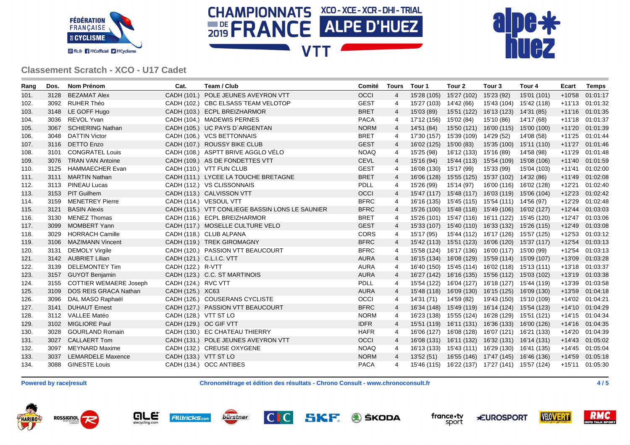





| Rang | Dos. | <b>Nom Prénom</b>             | Cat.                  | Team / Club                                     | Comité      | <b>Tours</b>   | Tour 1                 | Tour <sub>2</sub>      | Tour <sub>3</sub>                               | Tour 4      | Ecart    | <b>Temps</b>    |
|------|------|-------------------------------|-----------------------|-------------------------------------------------|-------------|----------------|------------------------|------------------------|-------------------------------------------------|-------------|----------|-----------------|
| 101. | 3128 | <b>BEZAMAT Alex</b>           |                       | CADH (101.) POLE JEUNES AVEYRON VTT             | <b>OCCI</b> | $\overline{4}$ | 15'28 (105)            | 15'27 (102)            | 15'23 (92)                                      | 15'01 (101) | $+10'58$ | 01:01:17        |
| 102. | 3092 | <b>RUHER Théo</b>             |                       | CADH (102.) CBC ELSASS`TEAM VELOTOP             | <b>GEST</b> | $\overline{4}$ | 15'27 (103) 14'42 (66) |                        | 15'43 (104) 15'42 (118)                         |             |          | +11'13 01:01:32 |
| 103. | 3148 | LE GOFF Hugo                  |                       | CADH (103.) ECPL BREIZHARMOR                    | <b>BRET</b> | $\overline{4}$ | 15'03 (89)             | 15'51 (122)            | 16'13 (123) 14'31 (85)                          |             |          | +11'16 01:01:35 |
| 104. | 3036 | REVOL Yvan                    |                       | CADH (104.) MADEWIS PERNES                      | <b>PACA</b> | 4              | 17'12 (156) 15'02 (84) |                        | 15'10 (86)                                      | 14'17 (68)  |          | +11'18 01:01:37 |
| 105. | 3067 | <b>SCHIERING Nathan</b>       |                       | CADH (105.) UC PAYS D'ARGENTAN                  | <b>NORM</b> | $\overline{4}$ | 14'51 (84)             | 15'50 (121)            | 16'00 (115) 15'00 (100)                         |             |          | +11'20 01:01:39 |
| 106. | 3048 | <b>DATTIN Victor</b>          |                       | CADH (106.) VCS BETTONNAIS                      | <b>BRET</b> | $\overline{4}$ | 17'30 (157)            | 15'39 (109) 14'29 (52) |                                                 | 14'08 (58)  |          | +11'25 01:01:44 |
| 107. | 3116 | <b>DETTO Enzo</b>             |                       | CADH (107.) ROUSSY BIKE CLUB                    | <b>GEST</b> | $\overline{4}$ | 16'02 (125)            | 15'00 (83)             | 15'35 (100) 15'11 (110)                         |             |          | +11'27 01:01:46 |
| 108. | 3101 | <b>CONGRATEL Louis</b>        |                       | CADH (108.) ASPTT BRIVE AGGLO VELO              | <b>NOAQ</b> | -4             | 15'25 (98)             | 16'12 (133) 15'16 (89) |                                                 | 14'58 (98)  |          | +11'29 01:01:48 |
| 109. | 3076 | <b>TRAN VAN Antoine</b>       |                       | CADH (109.) AS DE FONDETTES VTT                 | <b>CEVL</b> | $\overline{4}$ | 15'16 (94)             |                        | 15'44 (113) 15'54 (109) 15'08 (106)             |             |          | +11'40 01:01:59 |
| 110. | 3125 | <b>HAMMAECHER Evan</b>        |                       | CADH (110.) VTT FUN CLUB                        | <b>GEST</b> | $\overline{4}$ | 16'08 (130) 15'17 (99) |                        | 15'33 (99)                                      | 15'04 (103) |          | +11'41 01:02:00 |
| 111. | 3111 | <b>MARTIN Nathan</b>          |                       | CADH (111.) LYCEE LA TOUCHE BRETAGNE            | <b>BRET</b> | $\overline{4}$ |                        |                        | 16'06 (128) 15'55 (125) 15'37 (102) 14'32 (86)  |             |          | +11'49 01:02:08 |
| 112. | 3113 | <b>PINEAU Lucas</b>           |                       | CADH (112.) VS CLISSONNAIS                      | <b>PDLL</b> | $\overline{4}$ | 15'26 (99)             | 15'14 (97)             | 16'00 (116) 16'02 (128)                         |             |          | +12'21 01:02:40 |
| 113. |      | 3153 PIT Guilhem              |                       | CADH (113.) CALVISSON VTT                       | OCCI        | $\overline{4}$ |                        |                        | 15'47 (117) 15'48 (117) 16'03 (119) 15'06 (104) |             |          | +12'23 01:02:42 |
| 114. | 3159 | <b>MENETREY Pierre</b>        |                       | CADH (114.) VESOUL VTT                          | <b>BFRC</b> | $\overline{4}$ |                        |                        | 16'16 (135) 15'45 (115) 15'54 (111) 14'56 (97)  |             |          | +12'29 01:02:48 |
| 115. | 3121 | <b>BASIN Alexis</b>           |                       | CADH (115.) VTT CONLIEGE BASSIN LONS LE SAUNIER | <b>BFRC</b> | $\overline{4}$ |                        |                        | 15'26 (100) 15'48 (118) 15'49 (106) 16'02 (127) |             |          | +12'44 01:03:03 |
| 116. | 3130 | <b>MENEZ Thomas</b>           |                       | CADH (116.) ECPL BREIZHARMOR                    | <b>BRET</b> | $\overline{4}$ |                        |                        | 15'26 (101) 15'47 (116) 16'11 (122) 15'45 (120) |             |          | +12'47 01:03:06 |
| 117. | 3099 | <b>MOMBERT Yann</b>           |                       | CADH (117.) MOSELLE CULTURE VELO                | <b>GEST</b> | $\overline{4}$ |                        |                        | 15'33 (107) 15'40 (110) 16'33 (132) 15'26 (115) |             |          | +12'49 01:03:08 |
| 118. | 3029 | <b>HORRACH Camille</b>        |                       | CADH (118.) CLUB ALPANA                         | <b>CORS</b> | -4             | 15'17 (95)             |                        | 15'44 (112) 16'17 (126) 15'57 (125)             |             |          | +12'53 01:03:12 |
| 119. | 3106 | <b>MAZIMANN Vincent</b>       |                       | CADH (119.) TREK GIROMAGNY                      | <b>BFRC</b> | $\overline{4}$ |                        |                        | 15'42 (113) 15'51 (123) 16'06 (120) 15'37 (117) |             |          | +12'54 01:03:13 |
| 120. | 3131 | <b>DEMOLY Virgile</b>         |                       | CADH (120.) PASSION VTT BEAUCOURT               | <b>BFRC</b> | $\overline{4}$ |                        |                        | 15'58 (124) 16'17 (136) 16'00 (117) 15'00 (99)  |             |          | +12'54 01:03:13 |
| 121. | 3142 | <b>AUBRIET Lilian</b>         |                       | CADH (121.) C.L.I.C. VTT                        | <b>AURA</b> | $\overline{4}$ |                        |                        | 16'15 (134) 16'08 (129) 15'59 (114) 15'09 (107) |             |          | +13'09 01:03:28 |
| 122. | 3139 | <b>DELEMONTEY Tim</b>         | CADH (122.) R-VTT     |                                                 | <b>AURA</b> | $\overline{4}$ |                        |                        | 16'40 (150) 15'45 (114) 16'02 (118) 15'13 (111) |             |          | +13'18 01:03:37 |
| 123. | 3157 | <b>GUYOT Benjamin</b>         |                       | CADH (123.) C.C. ST MARTINOIS                   | <b>AURA</b> | $\overline{4}$ |                        |                        | 16'27 (142) 16'16 (135) 15'56 (112) 15'03 (102) |             |          | +13'19 01:03:38 |
| 124. | 3155 | <b>COTTIER WEMAERE Joseph</b> | CADH (124.) RVC VTT   |                                                 | PDLL        | $\overline{4}$ |                        |                        | 15'54 (122) 16'04 (127) 16'18 (127) 15'44 (119) |             |          | +13'39 01:03:58 |
| 125. | 3109 | DOS REIS GRACA Nathan         | CADH (125.) XC63      |                                                 | <b>AURA</b> | 4              |                        |                        | 15'48 (118) 16'09 (130) 16'15 (125) 16'09 (130) |             |          | +13'59 01:04:18 |
| 126. | 3096 | DAL MASO Raphaël              |                       | CADH (126.) COUSERANS CYCLISTE                  | OCCI        | $\overline{4}$ | 14'31 (71)             | 14'59 (82)             | 19'43 (150) 15'10 (109)                         |             |          | +14'02 01:04:21 |
| 127. | 3141 | <b>DUHAUT Ernest</b>          |                       | CADH (127.) PASSION VTT BEAUCOURT               | <b>BFRC</b> | $\overline{4}$ |                        |                        | 16'34 (148) 15'49 (119) 16'14 (124) 15'54 (123) |             |          | +14'10 01:04:29 |
| 128. | 3112 | <b>VALLEE Matéo</b>           | CADH (128.) VTT ST LO |                                                 | <b>NORM</b> | -4             |                        |                        | 16'23 (138) 15'55 (124) 16'28 (129) 15'51 (121) |             |          | +14'15 01:04:34 |
| 129. | 3102 | <b>MIGLIORE Paul</b>          |                       | CADH (129.) OC GIF VTT                          | <b>IDFR</b> | $\overline{4}$ |                        |                        | 15'51 (119) 16'11 (131) 16'36 (133) 16'00 (126) |             |          | +14'16 01:04:35 |
| 130. | 3028 | <b>GOURLAND Romain</b>        |                       | CADH (130.) EC CHATEAU THIERRY                  | <b>HAFR</b> | $\overline{4}$ |                        |                        | 16'06 (127) 16'08 (128) 16'07 (121) 16'21 (133) |             |          | +14'20 01:04:39 |
| 131. | 3027 | <b>CALLAERT Tom</b>           |                       | CADH (131.) POLE JEUNES AVEYRON VTT             | <b>OCCI</b> | $\overline{4}$ |                        |                        | 16'08 (131) 16'11 (132) 16'32 (131) 16'14 (131) |             |          | +14'43 01:05:02 |
| 132. | 3097 | <b>MEYNARD Maxime</b>         |                       | CADH (132.) CREUSE OXYGENE                      | <b>NOAQ</b> | 4              |                        |                        | 16'13 (133) 15'43 (111) 16'29 (130) 16'41 (135) |             |          | +14'45 01:05:04 |
| 133. | 3037 | <b>LEMARDELE Maxence</b>      | CADH (133.) VTT ST LO |                                                 | <b>NORM</b> | $\overline{4}$ | 13'52(51)              |                        | 16'55 (146) 17'47 (145) 16'46 (136)             |             |          | +14'59 01:05:18 |
| 134. | 3088 | <b>GINESTE Louis</b>          |                       | CADH (134.) OCC ANTIBES                         | <b>PACA</b> | $\overline{4}$ |                        |                        | 15'46 (115) 16'22 (137) 17'27 (141) 15'57 (124) |             |          | +15'11 01:05:30 |

**Powered by race|result Chronométrage et édition des résultats - Chrono Consult - www.chronoconsult.fr 4 / 5**

ROSSIGNOL HARIBO